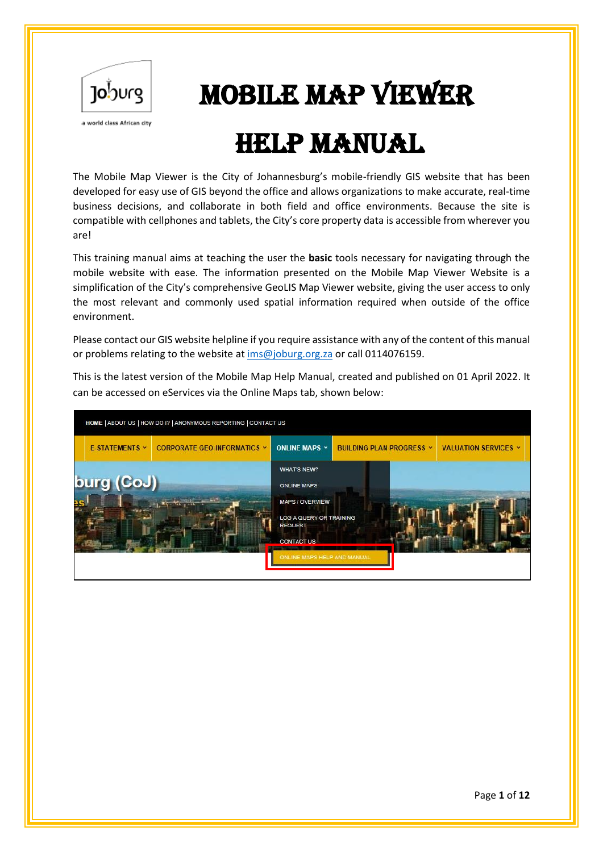

# Joburg | **MOBILE MAP VIEWER**

# HELP MANUAL

The Mobile Map Viewer is the City of Johannesburg's mobile-friendly GIS website that has been developed for easy use of GIS beyond the office and allows organizations to make accurate, real-time business decisions, and collaborate in both field and office environments. Because the site is compatible with cellphones and tablets, the City's core property data is accessible from wherever you are!

This training manual aims at teaching the user the **basic** tools necessary for navigating through the mobile website with ease. The information presented on the Mobile Map Viewer Website is a simplification of the City's comprehensive GeoLIS Map Viewer website, giving the user access to only the most relevant and commonly used spatial information required when outside of the office environment.

Please contact our GIS website helpline if you require assistance with any of the content of this manual or problems relating to the website at [ims@joburg.org.za](mailto:ims@joburg.org.za) or call 0114076159.

This is the latest version of the Mobile Map Help Manual, created and published on 01 April 2022. It can be accessed on eServices via the Online Maps tab, shown below:

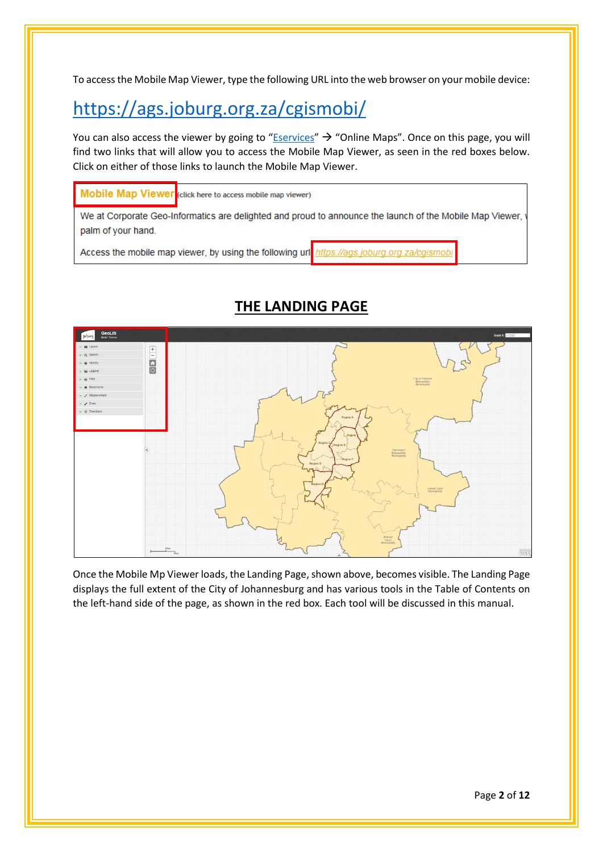To access the Mobile Map Viewer, type the following URL into the web browser on your mobile device:

# <https://ags.joburg.org.za/cgismobi/>

You can also access the viewer by going to "**[Eservices](https://eservices.joburg.org.za/)"**  $\rightarrow$  "Online Maps". Once on this page, you will find two links that will allow you to access the Mobile Map Viewer, as seen in the red boxes below. Click on either of those links to launch the Mobile Map Viewer.

Mobile Map Viewer (click here to access mobile map viewer)

We at Corporate Geo-Informatics are delighted and proud to announce the launch of the Mobile Map Viewer, palm of your hand.

Access the mobile map viewer, by using the following url https://ags.joburg.org.za/cgismobi



## **THE LANDING PAGE**

Once the Mobile Mp Viewer loads, the Landing Page, shown above, becomes visible. The Landing Page displays the full extent of the City of Johannesburg and has various tools in the Table of Contents on the left-hand side of the page, as shown in the red box. Each tool will be discussed in this manual.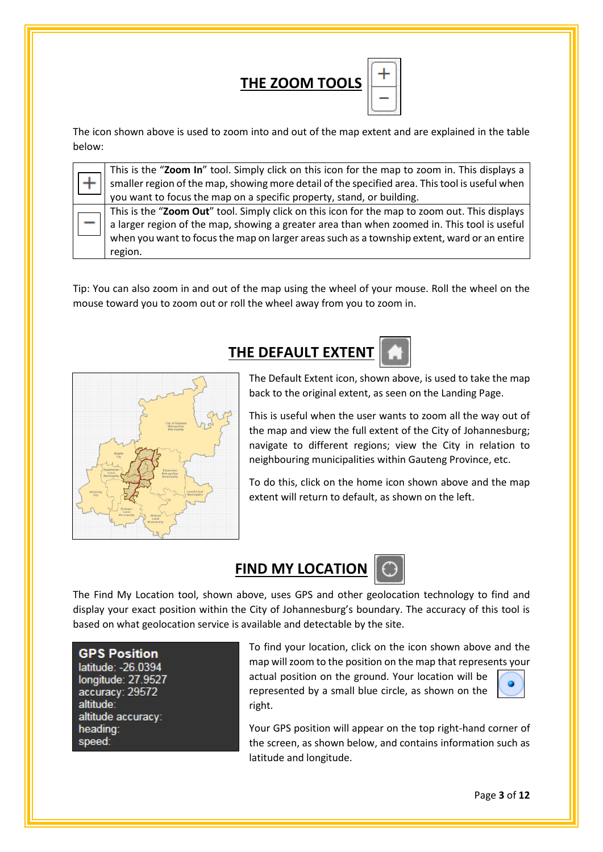

The icon shown above is used to zoom into and out of the map extent and are explained in the table below:

| $\vert$ This is the "Zoom In" tool. Simply click on this icon for the map to zoom in. This displays a  |
|--------------------------------------------------------------------------------------------------------|
| $\vert$ smaller region of the map, showing more detail of the specified area. This tool is useful when |
| vou want to focus the map on a specific property, stand, or building.                                  |

This is the "**Zoom Out**" tool. Simply click on this icon for the map to zoom out. This displays a larger region of the map, showing a greater area than when zoomed in. This tool is useful when you want to focus the map on larger areas such as a township extent, ward or an entire region.

Tip: You can also zoom in and out of the map using the wheel of your mouse. Roll the wheel on the mouse toward you to zoom out or roll the wheel away from you to zoom in.

## **THE DEFAULT EXTENT**



The Default Extent icon, shown above, is used to take the map back to the original extent, as seen on the Landing Page.

This is useful when the user wants to zoom all the way out of the map and view the full extent of the City of Johannesburg; navigate to different regions; view the City in relation to neighbouring municipalities within Gauteng Province, etc.

To do this, click on the home icon shown above and the map extent will return to default, as shown on the left.



The Find My Location tool, shown above, uses GPS and other geolocation technology to find and display your exact position within the City of Johannesburg's boundary. The accuracy of this tool is based on what geolocation service is available and detectable by the site.

**GPS Position** 

latitude: -26.0394 longitude: 27.9527 accuracy: 29572 altitude: altitude accuracy: heading: speed:

To find your location, click on the icon shown above and the map will zoom to the position on the map that represents your

actual position on the ground. Your location will be represented by a small blue circle, as shown on the right.



Your GPS position will appear on the top right-hand corner of the screen, as shown below, and contains information such as latitude and longitude.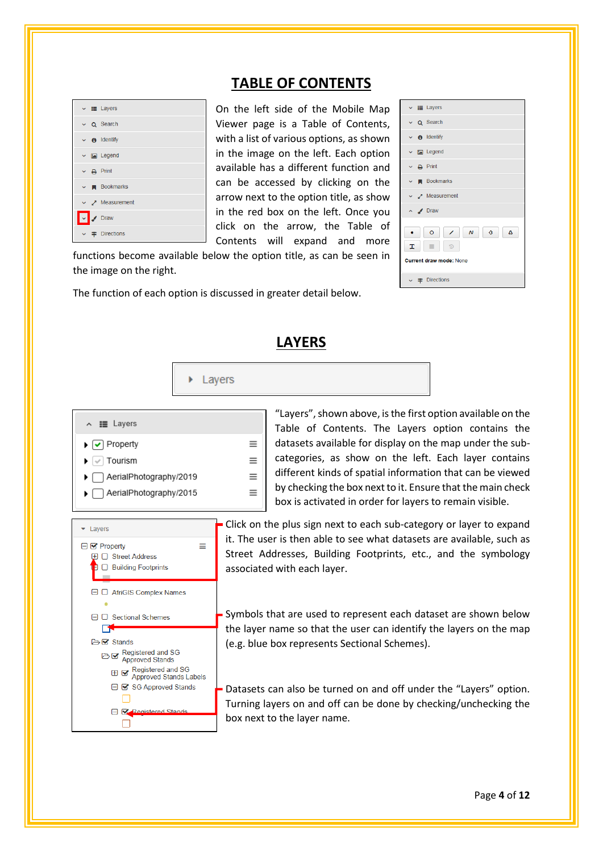### $\vee$  **IE** Layers Q Search  $\theta$  Identify  $\Box$  Legend  $\Delta$  Print **Bookmarks A** Measurement  $\triangleright$   $\cdot$  Draw  $\vee$   $\neq$  Directions

 $\mathbf{R}$ **B** Stands

Begistered and SG<br>Approved Stands

 $\Box$ 

 $\Box$ 

⊕ Registered and SG<br>
⊕ G Approved Stands Labels □ S SG Approved Stands

**E Registered Stands** 

**TABLE OF CONTENTS**

 $\vee$  **IE** Layers

 $\sim$  O Search

 $\vee$  **e** Identify

 $\vee$  **Ex** Legend

 $\vee$  **N** Bookmarks

 $\vee$  Measurement

Current draw mode: None

 $\vee$   $\neq$  Directions

 $\bullet$   $\circ$   $\prime$   $\circ$   $\circ$   $\circ$   $\circ$ 

 $\sim$   $\Delta$  Print

 $\sim$   $\sqrt{2}$  Drav

On the left side of the Mobile Map Viewer page is a Table of Contents, with a list of various options, as shown in the image on the left. Each option available has a different function and can be accessed by clicking on the arrow next to the option title, as show in the red box on the left. Once you click on the arrow, the Table of Contents will expand and more

functions become available below the option title, as can be seen in the image on the right.

The function of each option is discussed in greater detail below.



Symbols that are used to represent each dataset are shown below the layer name so that the user can identify the layers on the map (e.g. blue box represents Sectional Schemes).

Datasets can also be turned on and off under the "Layers" option. Turning layers on and off can be done by checking/unchecking the box next to the layer name.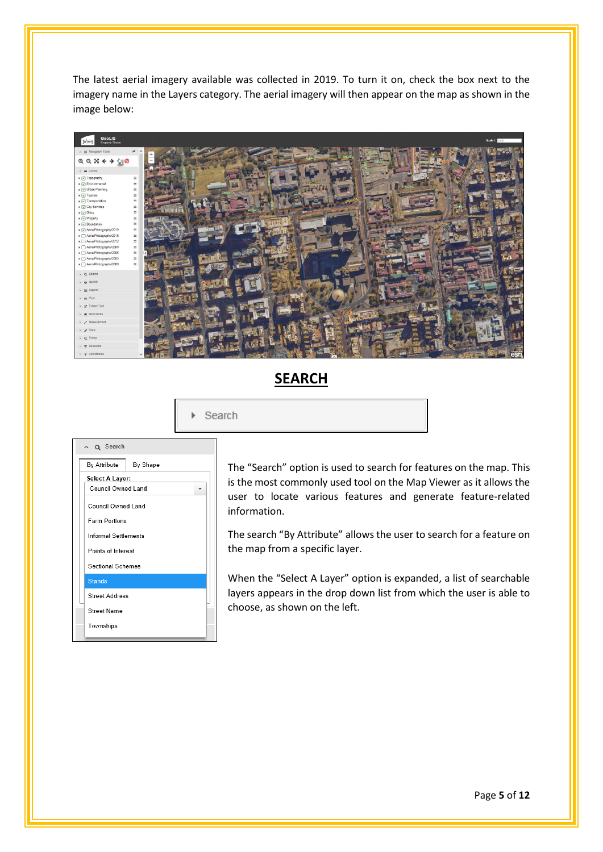The latest aerial imagery available was collected in 2019. To turn it on, check the box next to the imagery name in the Layers category. The aerial imagery will then appear on the map as shown in the image below:



### **SEARCH**

Search ¥.

| ~ Q Search                  |
|-----------------------------|
| By Attribute<br>By Shape    |
| <b>Select A Layer:</b>      |
| Council Owned Land          |
| <b>Council Owned Land</b>   |
| <b>Farm Portions</b>        |
| <b>Informal Settlements</b> |
| Points of Interest          |
| Sectional Schemes           |
| <b>Stands</b>               |
| <b>Street Address</b>       |
| Street Name                 |
| Townships                   |
|                             |

The "Search" option is used to search for features on the map. This is the most commonly used tool on the Map Viewer as it allows the user to locate various features and generate feature-related information.

The search "By Attribute" allows the user to search for a feature on the map from a specific layer.

When the "Select A Layer" option is expanded, a list of searchable layers appears in the drop down list from which the user is able to choose, as shown on the left.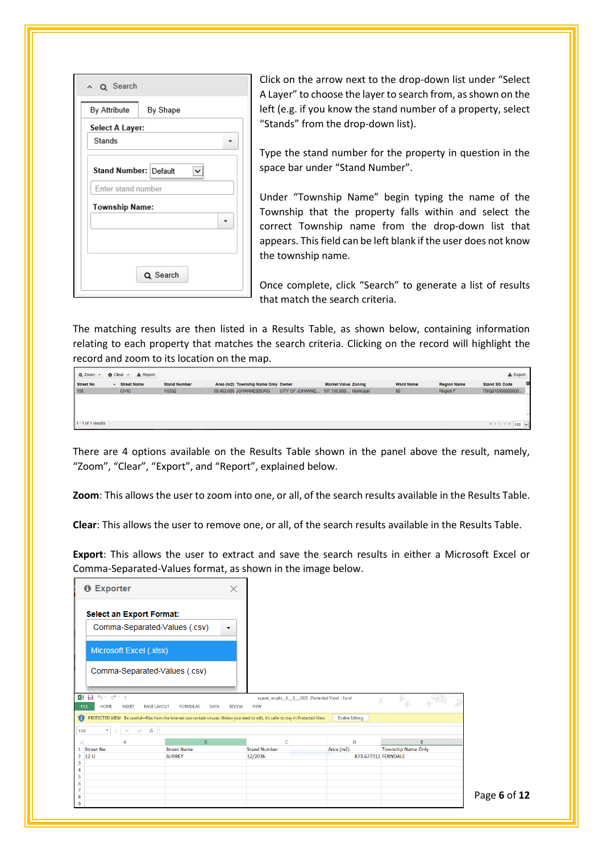| ~ Q Search                |
|---------------------------|
| By Attribute<br>By Shape  |
| Select A Layer:<br>Stands |
| Stand Number: Default     |
| Enter stand number        |
| <b>Township Name:</b>     |
| Q Search                  |

Click on the arrow next to the drop-down list under "Select A Layer" to choose the layer to search from, as shown on the left (e.g. if you know the stand number of a property, select "Stands" from the drop-down list).

Type the stand number for the property in question in the space bar under "Stand Number".

Under "Township Name" begin typing the name of the Township that the property falls within and select the correct Township name from the drop-down list that appears. This field can be left blank if the user does not know the township name.

Once complete, click "Search" to generate a list of results that match the search criteria.

The matching results are then listed in a Results Table, as shown below, containing information relating to each property that matches the search criteria. Clicking on the record will highlight the record and zoom to its location on the map.

| Q Zoom               | $\pm$ Report<br><b>Q</b> Clear + |                     |                                    |                                       |                            |                  |                    | <b>Export</b>                   |
|----------------------|----------------------------------|---------------------|------------------------------------|---------------------------------------|----------------------------|------------------|--------------------|---------------------------------|
| Street No            | - Street Name                    | <b>Stand Number</b> | Area (m2) Township Name Only Owner |                                       | <b>Market Value Zoning</b> | <b>Ward Name</b> | <b>Region Name</b> | $\circ$<br><b>Stand SG Code</b> |
| 158                  | <b>CIVIC</b>                     | 1/5332              | 59,463.686 JOHANNESBURG            | CITY OF JOHANNE 197,130,000 Municipal |                            | 60               | Region F           | T0IQ018300000005.               |
|                      |                                  |                     |                                    |                                       |                            |                  |                    |                                 |
| $1 - 1$ of 1 results |                                  |                     |                                    |                                       |                            |                  |                    | « ← 1 → » 100 <u>V</u>          |

There are 4 options available on the Results Table shown in the panel above the result, namely, "Zoom", "Clear", "Export", and "Report", explained below.

**Zoom**: This allows the user to zoom into one, or all, of the search results available in the Results Table.

**Clear**: This allows the user to remove one, or all, of the search results available in the Results Table.

**Export**: This allows the user to extract and save the search results in either a Microsoft Excel or Comma-Separated-Values format, as shown in the image below.

| <b>O</b> Exporter                                           |                                        | $\times$                                                                                                                                                       |                                                                           |                           |
|-------------------------------------------------------------|----------------------------------------|----------------------------------------------------------------------------------------------------------------------------------------------------------------|---------------------------------------------------------------------------|---------------------------|
| <b>Select an Export Format:</b>                             | Comma-Separated-Values (.csv)          |                                                                                                                                                                |                                                                           |                           |
| Microsoft Excel (.xlsx)                                     |                                        |                                                                                                                                                                |                                                                           |                           |
|                                                             | Comma-Separated-Values (.csv)          |                                                                                                                                                                |                                                                           |                           |
| 知日 ちゃっす<br>FILE<br>HOME<br><b>INSERT</b><br>A               | PAGE LAYOUT<br><b>FORMULAS</b><br>DATA | VIEW<br><b>REVIEW</b><br>PROTECTED VIEW Be careful-files from the Internet can contain viruses. Unless you need to edit, it's safer to stay in Protected View. | export_results_4_3_2020 [Protected View] - Excel<br><b>Enable Editing</b> |                           |
| $\overline{\phantom{a}}$<br>E26<br>$\checkmark$<br>$\times$ | fx                                     |                                                                                                                                                                |                                                                           |                           |
| А                                                           | $\overline{B}$                         | c                                                                                                                                                              | D                                                                         | Е                         |
| $\mathbf{1}$<br><b>Street No</b>                            | <b>Street Name</b>                     | <b>Stand Number</b>                                                                                                                                            | Area (m2)                                                                 | <b>Township Name Only</b> |
| 12 U<br>$\overline{2}$<br>3<br>4                            | <b>SURREY</b>                          | 12/2036                                                                                                                                                        |                                                                           | 873.677312 FERNDALE       |
| 5<br>6<br>$\overline{7}$                                    |                                        |                                                                                                                                                                |                                                                           |                           |
| 8<br>9                                                      |                                        |                                                                                                                                                                |                                                                           |                           |

Page **6** of **12**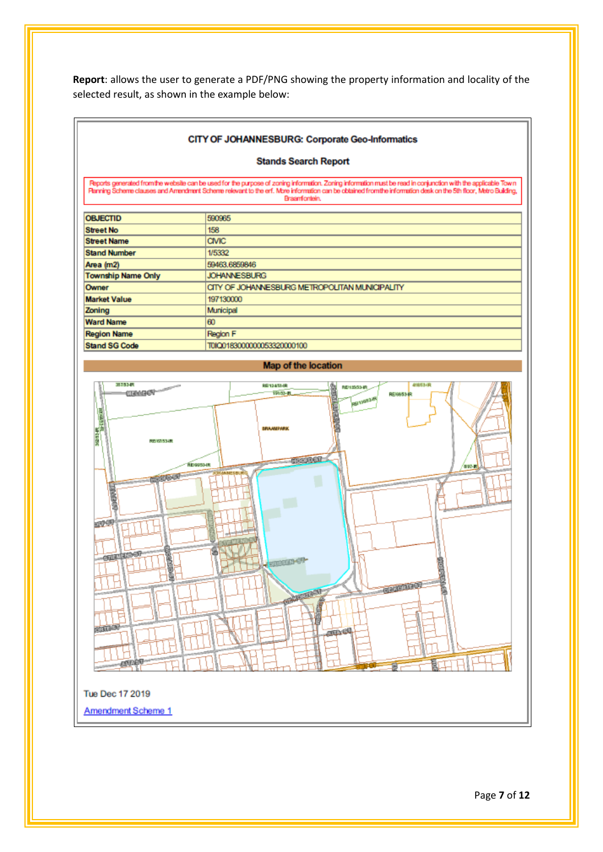**Report**: allows the user to generate a PDF/PNG showing the property information and locality of the selected result, as shown in the example below:

#### CITY OF JOHANNESBURG: Corporate Geo-Informatics

#### **Stands Search Report**

Reports generated from the website can be used for the purpose of zoning information. Zoning information must be read in conjunction with the applicable Town<br>Planning Scheme clauses and Amendment Scheme relevant to the enf Braamfontein.

| <b>OBJECTID</b>           | 590965                                         |
|---------------------------|------------------------------------------------|
| <b>Street No</b>          | 158                                            |
| <b>Street Name</b>        | <b>CIVIC</b>                                   |
| <b>Stand Number</b>       | 1/5332                                         |
| Area (m2)                 | 59463.6859846                                  |
| <b>Township Name Only</b> | <b>JOHANNESBURG</b>                            |
| Owner                     | CITY OF JOHANNESBURG METROPOLITAN MUNICIPALITY |
| <b>Market Value</b>       | 197130000                                      |
| Zoning                    | Municipal                                      |
| <b>Ward Name</b>          | 60                                             |
| <b>Region Name</b>        | Region F                                       |
| <b>Stand SG Code</b>      | T0IQ0183000000053320000100                     |



Page **7** of **12**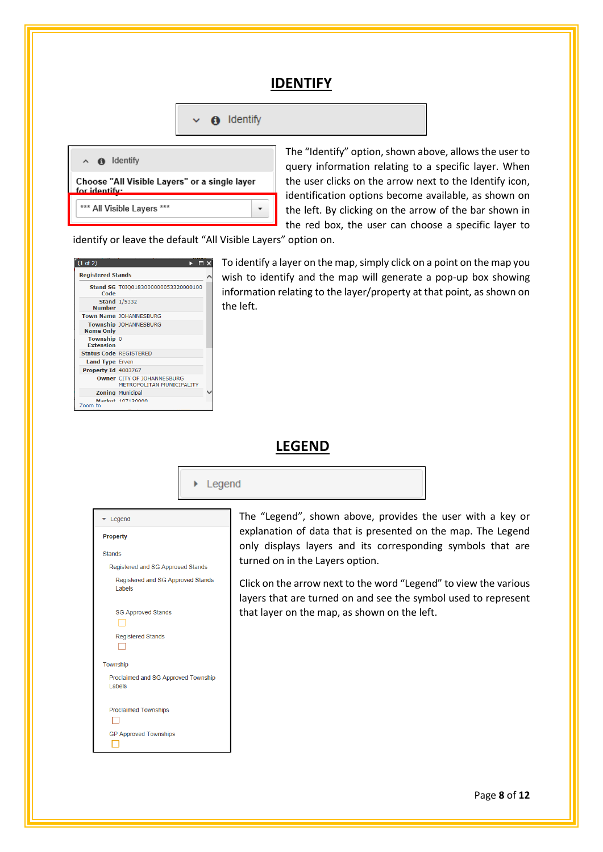#### **IDENTIFY**

| $\checkmark$ | <b>O</b> Identify |
|--------------|-------------------|
|              |                   |



The "Identify" option, shown above, allows the user to query information relating to a specific layer. When the user clicks on the arrow next to the Identify icon, identification options become available, as shown on the left. By clicking on the arrow of the bar shown in the red box, the user can choose a specific layer to

identify or leave the default "All Visible Layers" option on.

| (1 of 2)<br>нı                 |                                                                |  |  |  |  |
|--------------------------------|----------------------------------------------------------------|--|--|--|--|
| <b>Registered Stands</b>       |                                                                |  |  |  |  |
| Code                           | Stand SG T0IQ0183000000053320000100                            |  |  |  |  |
| <b>Number</b>                  | <b>Stand 1/5332</b>                                            |  |  |  |  |
|                                | <b>Town Name JOHANNESBURG</b>                                  |  |  |  |  |
| <b>Name Only</b>               | <b>Township JOHANNESBURG</b>                                   |  |  |  |  |
| Township 0<br><b>Extension</b> |                                                                |  |  |  |  |
| <b>Status Code REGISTERED</b>  |                                                                |  |  |  |  |
| <b>Land Type Erven</b>         |                                                                |  |  |  |  |
| Property Id 4003767            |                                                                |  |  |  |  |
|                                | <b>Owner CITY OF JOHANNESBURG</b><br>METROPOLITAN MUNICIPALITY |  |  |  |  |
|                                | <b>Zoning Municipal</b>                                        |  |  |  |  |
| Zoom to                        | <b>Markot 107120000</b>                                        |  |  |  |  |

To identify a layer on the map, simply click on a point on the map you wish to identify and the map will generate a pop-up box showing information relating to the layer/property at that point, as shown on the left.

#### **LEGEND**



| Legend                                        |  |  |  |  |  |
|-----------------------------------------------|--|--|--|--|--|
| Property                                      |  |  |  |  |  |
| <b>Stands</b>                                 |  |  |  |  |  |
| Registered and SG Approved Stands             |  |  |  |  |  |
| Registered and SG Approved Stands<br>Labels   |  |  |  |  |  |
| <b>SG Approved Stands</b>                     |  |  |  |  |  |
| <b>Registered Stands</b>                      |  |  |  |  |  |
| Township                                      |  |  |  |  |  |
| Proclaimed and SG Approved Township<br>Labels |  |  |  |  |  |
| <b>Proclaimed Townships</b>                   |  |  |  |  |  |
| <b>GP Approved Townships</b>                  |  |  |  |  |  |

The "Legend", shown above, provides the user with a key or explanation of data that is presented on the map. The Legend only displays layers and its corresponding symbols that are turned on in the Layers option.

Click on the arrow next to the word "Legend" to view the various layers that are turned on and see the symbol used to represent that layer on the map, as shown on the left.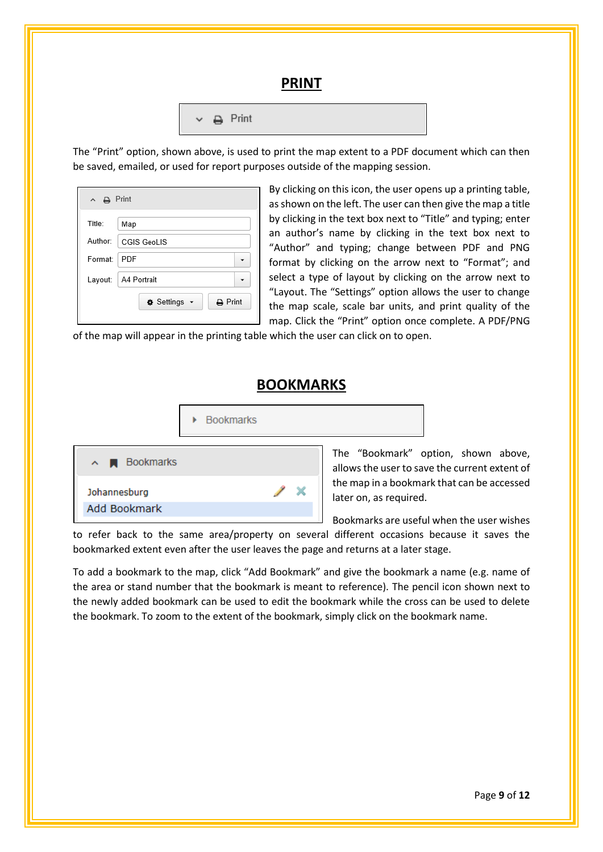#### **PRINT**

|  |  | $\vee$ $\bigoplus$ Print |
|--|--|--------------------------|
|--|--|--------------------------|

The "Print" option, shown above, is used to print the map extent to a PDF document which can then be saved, emailed, or used for report purposes outside of the mapping session.

| $\land$ $\qquad \qquad \Box$ Print |                                               |  |  |  |  |  |  |
|------------------------------------|-----------------------------------------------|--|--|--|--|--|--|
| Title:                             | Map                                           |  |  |  |  |  |  |
| Author:                            | <b>CGIS GeoLIS</b>                            |  |  |  |  |  |  |
| Format:                            | PDF                                           |  |  |  |  |  |  |
| Layout:                            | A4 Portrait                                   |  |  |  |  |  |  |
|                                    | $\mathbf{\ominus}$ Print<br><b>♦ Settings</b> |  |  |  |  |  |  |

By clicking on this icon, the user opens up a printing table, as shown on the left. The user can then give the map a title by clicking in the text box next to "Title" and typing; enter an author's name by clicking in the text box next to "Author" and typing; change between PDF and PNG format by clicking on the arrow next to "Format"; and select a type of layout by clicking on the arrow next to "Layout. The "Settings" option allows the user to change the map scale, scale bar units, and print quality of the map. Click the "Print" option once complete. A PDF/PNG

of the map will appear in the printing table which the user can click on to open.

#### **BOOKMARKS**

| ▶ Bookmarks |                |
|-------------|----------------|
|             | The "Bookmark" |

| $\sim$ <b>N</b> Bookmarks |  |
|---------------------------|--|
| Johannesburg              |  |
| Add Bookmark              |  |

option, shown above, allows the user to save the current extent of the map in a bookmark that can be accessed later on, as required.

Bookmarks are useful when the user wishes

to refer back to the same area/property on several different occasions because it saves the bookmarked extent even after the user leaves the page and returns at a later stage.

To add a bookmark to the map, click "Add Bookmark" and give the bookmark a name (e.g. name of the area or stand number that the bookmark is meant to reference). The pencil icon shown next to the newly added bookmark can be used to edit the bookmark while the cross can be used to delete the bookmark. To zoom to the extent of the bookmark, simply click on the bookmark name.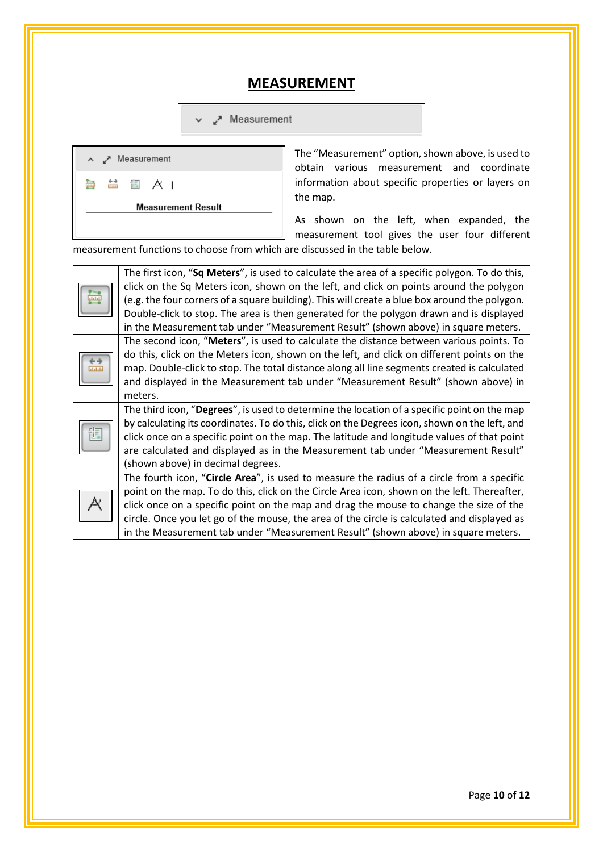#### **MEASUREMENT**

Measurement



The "Measurement" option, shown above, is used to obtain various measurement and coordinate information about specific properties or layers on the map.

As shown on the left, when expanded, the measurement tool gives the user four different

measurement functions to choose from which are discussed in the table below.

| jщ    | The first icon, "Sq Meters", is used to calculate the area of a specific polygon. To do this,<br>click on the Sq Meters icon, shown on the left, and click on points around the polygon<br>(e.g. the four corners of a square building). This will create a blue box around the polygon.<br>Double-click to stop. The area is then generated for the polygon drawn and is displayed<br>in the Measurement tab under "Measurement Result" (shown above) in square meters. |
|-------|--------------------------------------------------------------------------------------------------------------------------------------------------------------------------------------------------------------------------------------------------------------------------------------------------------------------------------------------------------------------------------------------------------------------------------------------------------------------------|
| didit | The second icon, "Meters", is used to calculate the distance between various points. To<br>do this, click on the Meters icon, shown on the left, and click on different points on the<br>map. Double-click to stop. The total distance along all line segments created is calculated<br>and displayed in the Measurement tab under "Measurement Result" (shown above) in<br>meters.                                                                                      |
|       | The third icon, "Degrees", is used to determine the location of a specific point on the map<br>by calculating its coordinates. To do this, click on the Degrees icon, shown on the left, and<br>click once on a specific point on the map. The latitude and longitude values of that point<br>are calculated and displayed as in the Measurement tab under "Measurement Result"<br>(shown above) in decimal degrees.                                                     |
|       | The fourth icon, "Circle Area", is used to measure the radius of a circle from a specific<br>point on the map. To do this, click on the Circle Area icon, shown on the left. Thereafter,<br>click once on a specific point on the map and drag the mouse to change the size of the<br>circle. Once you let go of the mouse, the area of the circle is calculated and displayed as<br>in the Measurement tab under "Measurement Result" (shown above) in square meters.   |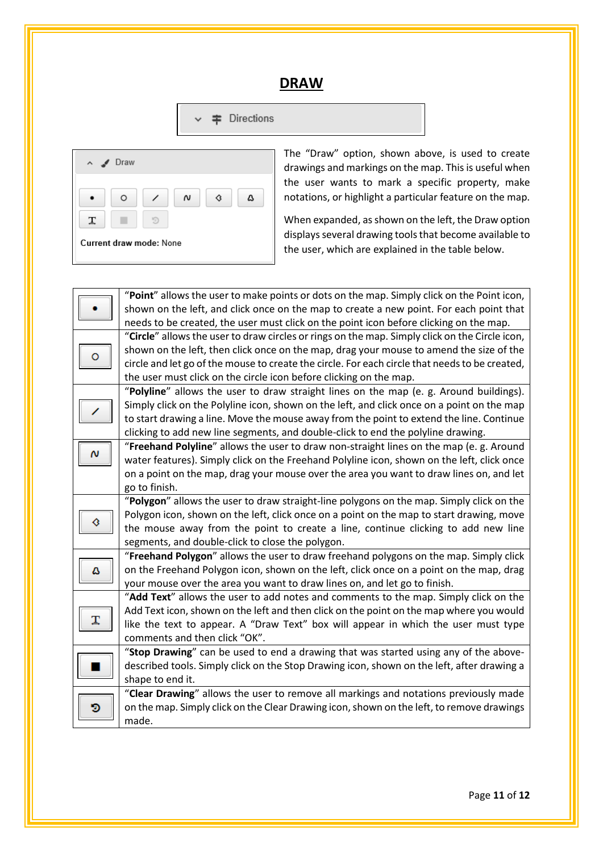#### **DRAW**

Directions  $\checkmark$ 



The "Draw" option, shown above, is used to create drawings and markings on the map. This is useful when the user wants to mark a specific property, make notations, or highlight a particular feature on the map.

When expanded, as shown on the left, the Draw option displays several drawing tools that become available to the user, which are explained in the table below.

|   | "Point" allows the user to make points or dots on the map. Simply click on the Point icon,     |  |  |  |
|---|------------------------------------------------------------------------------------------------|--|--|--|
|   | shown on the left, and click once on the map to create a new point. For each point that        |  |  |  |
|   | needs to be created, the user must click on the point icon before clicking on the map.         |  |  |  |
|   | "Circle" allows the user to draw circles or rings on the map. Simply click on the Circle icon, |  |  |  |
|   | shown on the left, then click once on the map, drag your mouse to amend the size of the        |  |  |  |
|   | circle and let go of the mouse to create the circle. For each circle that needs to be created, |  |  |  |
|   | the user must click on the circle icon before clicking on the map.                             |  |  |  |
|   | "Polyline" allows the user to draw straight lines on the map (e. g. Around buildings).         |  |  |  |
|   | Simply click on the Polyline icon, shown on the left, and click once on a point on the map     |  |  |  |
|   | to start drawing a line. Move the mouse away from the point to extend the line. Continue       |  |  |  |
|   | clicking to add new line segments, and double-click to end the polyline drawing.               |  |  |  |
| Ν | "Freehand Polyline" allows the user to draw non-straight lines on the map (e. g. Around        |  |  |  |
|   | water features). Simply click on the Freehand Polyline icon, shown on the left, click once     |  |  |  |
|   | on a point on the map, drag your mouse over the area you want to draw lines on, and let        |  |  |  |
|   | go to finish.                                                                                  |  |  |  |
|   | "Polygon" allows the user to draw straight-line polygons on the map. Simply click on the       |  |  |  |
|   | Polygon icon, shown on the left, click once on a point on the map to start drawing, move       |  |  |  |
|   | the mouse away from the point to create a line, continue clicking to add new line              |  |  |  |
|   | segments, and double-click to close the polygon.                                               |  |  |  |
|   | "Freehand Polygon" allows the user to draw freehand polygons on the map. Simply click          |  |  |  |
| ۵ | on the Freehand Polygon icon, shown on the left, click once on a point on the map, drag        |  |  |  |
|   | your mouse over the area you want to draw lines on, and let go to finish.                      |  |  |  |
|   | "Add Text" allows the user to add notes and comments to the map. Simply click on the           |  |  |  |
|   | Add Text icon, shown on the left and then click on the point on the map where you would        |  |  |  |
|   | like the text to appear. A "Draw Text" box will appear in which the user must type             |  |  |  |
|   | comments and then click "OK".                                                                  |  |  |  |
|   | "Stop Drawing" can be used to end a drawing that was started using any of the above-           |  |  |  |
|   | described tools. Simply click on the Stop Drawing icon, shown on the left, after drawing a     |  |  |  |
|   | shape to end it.                                                                               |  |  |  |
|   | "Clear Drawing" allows the user to remove all markings and notations previously made           |  |  |  |
| D | on the map. Simply click on the Clear Drawing icon, shown on the left, to remove drawings      |  |  |  |
|   | made.                                                                                          |  |  |  |

Page **11** of **12**